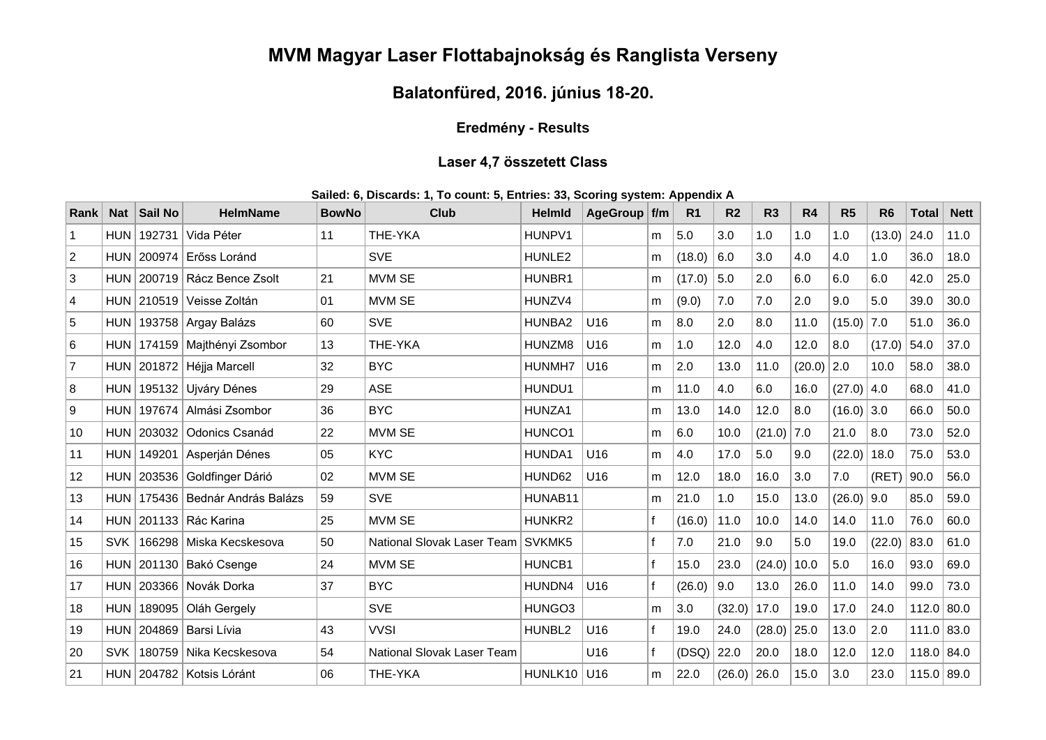# **MVM Magyar Laser Flottabajnokság és Ranglista Verseny**

## **Balatonfüred, 2016. június 18-20.**

#### **Eredmény - Results**

#### **Laser 4,7 összetett Class**

**Sailed: 6, Discards: 1, To count: 5, Entries: 33, Scoring system: Appendix A**

| Rank           | <b>Nat</b> | <b>Sail No</b> | <b>HelmName</b>                     | <b>BowNo</b> | <b>Club</b>                | <b>HelmId</b>      | AgeGroup f/m |              | R <sub>1</sub> | R <sub>2</sub> | R <sub>3</sub> | R <sub>4</sub> | R <sub>5</sub> | R <sub>6</sub> | Total        | <b>Nett</b> |
|----------------|------------|----------------|-------------------------------------|--------------|----------------------------|--------------------|--------------|--------------|----------------|----------------|----------------|----------------|----------------|----------------|--------------|-------------|
|                |            | HUN 192731     | Vida Péter                          | 11           | THE-YKA                    | HUNPV1             |              | m            | 5.0            | 3.0            | 1.0            | 1.0            | 1.0            | (13.0)         | 24.0         | 11.0        |
| $\overline{2}$ |            |                | HUN   200974   Erőss Loránd         |              | <b>SVE</b>                 | HUNLE <sub>2</sub> |              | m            | (18.0)         | 6.0            | 3.0            | 4.0            | 4.0            | 1.0            | 36.0         | 18.0        |
| 3              |            |                | HUN   200719   Rácz Bence Zsolt     | 21           | <b>MVM SE</b>              | HUNBR1             |              | m            | (17.0)         | 5.0            | 2.0            | 6.0            | 6.0            | 6.0            | 42.0         | 25.0        |
| 4              |            |                | HUN 210519 Veisse Zoltán            | 01           | <b>MVM SE</b>              | HUNZV4             |              | m            | (9.0)          | 7.0            | 7.0            | 2.0            | 9.0            | 5.0            | 39.0         | 30.0        |
| 5              |            |                | HUN   193758   Argay Balázs         | 60           | <b>SVE</b>                 | HUNBA2             | U16          | m            | 8.0            | 2.0            | 8.0            | 11.0           | (15.0)         | 7.0            | 51.0         | 36.0        |
| 6              |            |                | HUN 174159 Majthényi Zsombor        | 13           | THE-YKA                    | HUNZM8             | U16          | m            | 1.0            | 12.0           | 4.0            | 12.0           | 8.0            | $(17.0)$ 54.0  |              | 37.0        |
| $\overline{7}$ |            |                | HUN 201872 Héjja Marcell            | 32           | <b>BYC</b>                 | HUNMH7             | U16          | m            | 2.0            | 13.0           | 11.0           | (20.0)         | 2.0            | 10.0           | 58.0         | 38.0        |
| 8              |            |                | HUN   195132   Ujváry Dénes         | 29           | <b>ASE</b>                 | HUNDU1             |              | m            | 11.0           | 4.0            | 6.0            | 16.0           | (27.0)         | 4.0            | 68.0         | 41.0        |
| 9              |            | HUN 197674     | Almási Zsombor                      | 36           | <b>BYC</b>                 | HUNZA1             |              | m            | 13.0           | 14.0           | 12.0           | 8.0            | $(16.0)$ 3.0   |                | 66.0         | 50.0        |
| 10             |            | HUN 203032     | Odonics Csanád                      | 22           | <b>MVM SE</b>              | HUNCO1             |              | m            | 6.0            | 10.0           | (21.0)         | 7.0            | 21.0           | 8.0            | 73.0         | 52.0        |
| 11             |            | HUN 149201     | Asperján Dénes                      | 05           | <b>KYC</b>                 | HUNDA1             | U16          | m            | 4.0            | 17.0           | 5.0            | 9.0            | (22.0)         | 18.0           | 75.0         | 53.0        |
| 12             |            | HUN 203536     | Goldfinger Dárió                    | 02           | <b>MVM SE</b>              | HUND62             | U16          | m            | 12.0           | 18.0           | 16.0           | 3.0            | 7.0            | $(RET)$ 90.0   |              | 56.0        |
| 13             |            |                | HUN   175436   Bednár András Balázs | 59           | <b>SVE</b>                 | HUNAB11            |              | m            | 21.0           | 1.0            | 15.0           | 13.0           | $(26.0)$ 9.0   |                | 85.0         | 59.0        |
| 14             |            |                | HUN 201133 Rác Karina               | 25           | <b>MVM SE</b>              | HUNKR2             |              | f            | (16.0)         | 11.0           | 10.0           | 14.0           | 14.0           | 11.0           | 76.0         | 60.0        |
| 15             | SVK        |                | 166298 Miska Kecskesova             | 50           | National Slovak Laser Team | SVKMK5             |              | $\mathbf{f}$ | 7.0            | 21.0           | 9.0            | 5.0            | 19.0           | $(22.0)$ 83.0  |              | 61.0        |
| 16             |            |                | HUN 201130 Bakó Csenge              | 24           | <b>MVM SE</b>              | HUNCB1             |              | $\mathbf{f}$ | 15.0           | 23.0           | (24.0)         | 10.0           | 5.0            | 16.0           | 93.0         | 69.0        |
| 17             |            |                | HUN 203366 Novák Dorka              | 37           | <b>BYC</b>                 | HUNDN4             | U16          | $\mathbf{f}$ | (26.0)         | 9.0            | 13.0           | 26.0           | 11.0           | 14.0           | 99.0         | 73.0        |
| 18             |            |                | HUN   189095   Oláh Gergely         |              | <b>SVE</b>                 | HUNGO3             |              | m            | 3.0            | (32.0)         | 17.0           | 19.0           | 17.0           | 24.0           | 112.0        | 80.0        |
| 19             |            | HUN 204869     | Barsi Lívia                         | 43           | <b>VVSI</b>                | HUNBL2             | U16          | $\mathbf{f}$ | 19.0           | 24.0           | (28.0)         | 25.0           | 13.0           | 2.0            | $111.0$ 83.0 |             |
| 20             | SVK        | 180759         | Nika Kecskesova                     | 54           | National Slovak Laser Team |                    | U16          | f            | (DSQ)          | 22.0           | 20.0           | 18.0           | 12.0           | 12.0           | 118.0 84.0   |             |
| 21             |            |                | HUN   204782   Kotsis Lóránt        | 06           | THE-YKA                    | HUNLK10            | U16          | m            | 22.0           | (26.0)         | 26.0           | 15.0           | 3.0            | 23.0           | $115.0$ 89.0 |             |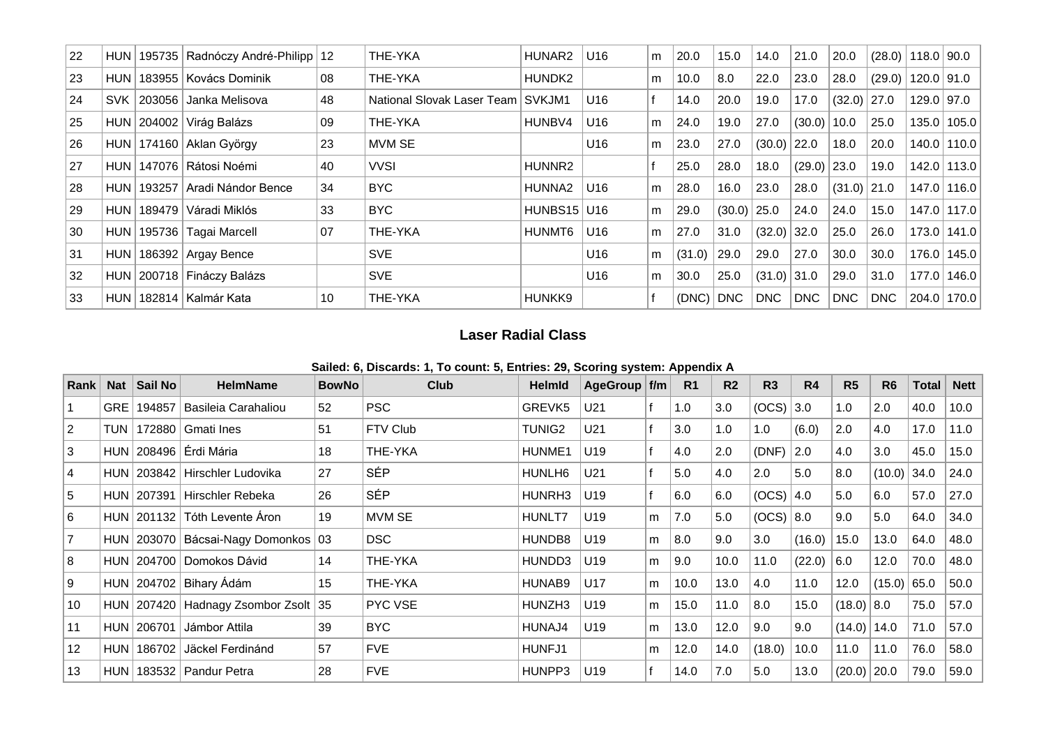| 22 |       |            | HUN   195735   Radnóczy André-Philipp   12 |    | THE-YKA                           | HUNAR2             | U16             | m | 20.0   | 15.0                      | 14.0          | 21.0          | 20.0          | (28.0)     | 118.0 90.0   |       |
|----|-------|------------|--------------------------------------------|----|-----------------------------------|--------------------|-----------------|---|--------|---------------------------|---------------|---------------|---------------|------------|--------------|-------|
| 23 | HUN I |            | 183955   Kovács Dominik                    | 08 | THE-YKA                           | HUNDK2             |                 | m | 10.0   | 8.0                       | 22.0          | 23.0          | 28.0          | (29.0)     | $120.0$ 91.0 |       |
| 24 |       | SVK 203056 | Janka Melisova                             | 48 | National Slovak Laser Team SVKJM1 |                    | U <sub>16</sub> |   | 14.0   | 20.0                      | 19.0          | 17.0          | $(32.0)$ 27.0 |            | $129.0$ 97.0 |       |
| 25 |       |            | HUN 204002 Virág Balázs                    | 09 | THE-YKA                           | HUNBV4             | U16             | m | 24.0   | 19.0                      | 27.0          | $(30.0)$ 10.0 |               | 25.0       | 135.0        | 105.0 |
| 26 |       |            | HUN   174160   Aklan György                | 23 | MVM SE                            |                    | U16             | m | 23.0   | 27.0                      | (30.0)        | 22.0          | 18.0          | 20.0       | 140.0        | 110.0 |
| 27 |       |            | HUN   147076   Rátosi Noémi                | 40 | <b>VVSI</b>                       | HUNNR2             |                 |   | 25.0   | 28.0                      | 18.0          | (29.0)        | 23.0          | 19.0       | 142.0        | 113.0 |
| 28 |       | HUN 193257 | Aradi Nándor Bence                         | 34 | <b>BYC</b>                        | HUNNA2             | U <sub>16</sub> | m | 28.0   | 16.0                      | 23.0          | 28.0          | $(31.0)$ 21.0 |            | 147.0        | 116.0 |
| 29 |       |            | HUN   189479   Váradi Miklós               | 33 | <b>BYC</b>                        | <b>HUNBS15 U16</b> |                 | m | 29.0   | (30.0)                    | 25.0          | 24.0          | 24.0          | 15.0       | 147.0        | 117.0 |
| 30 |       |            | HUN   195736   Tagai Marcell               | 07 | THE-YKA                           | HUNMT6             | U16             | m | 27.0   | 31.0                      | $(32.0)$ 32.0 |               | 25.0          | 26.0       | 173.0        | 141.0 |
| 31 |       |            | HUN   186392   Argay Bence                 |    | <b>SVE</b>                        |                    | U16             | m | (31.0) | 29.0                      | 29.0          | 27.0          | 30.0          | 30.0       | 176.0        | 145.0 |
| 32 |       |            | HUN 200718 Fináczy Balázs                  |    | <b>SVE</b>                        |                    | U16             | m | 30.0   | 25.0                      | $(31.0)$ 31.0 |               | 29.0          | 31.0       | 177.0        | 146.0 |
| 33 | HUN   |            | 182814   Kalmár Kata                       | 10 | THE-YKA                           | HUNKK9             |                 |   | (DNC)  | $\overline{\mathsf{DNC}}$ | DNC           | DNC           | <b>DNC</b>    | <b>DNC</b> | 204.0        | 170.0 |

### **Laser Radial Class**

|  |  | Sailed: 6, Discards: 1, To count: 5, Entries: 29, Scoring system: Appendix A |  |  |  |  |  |
|--|--|------------------------------------------------------------------------------|--|--|--|--|--|
|--|--|------------------------------------------------------------------------------|--|--|--|--|--|

| <b>Rank</b> | <b>Nat</b> | <b>Sail No</b> | <b>HelmName</b>                           | <b>BowNo</b> | Club            | <b>Helmid</b>      | AgeGroup $f/m$ |   | R <sub>1</sub> | R <sub>2</sub> | R <sub>3</sub> | R <sub>4</sub> | R <sub>5</sub> | R <sub>6</sub> | Total | <b>Nett</b> |
|-------------|------------|----------------|-------------------------------------------|--------------|-----------------|--------------------|----------------|---|----------------|----------------|----------------|----------------|----------------|----------------|-------|-------------|
|             | GRE        | 194857         | Basileia Carahaliou                       | 52           | <b>PSC</b>      | GREVK <sub>5</sub> | U21            |   | 1.0            | 3.0            | (OCS)          | $ 3.0\rangle$  | 1.0            | 2.0            | 40.0  | 10.0        |
| 2           | TUN        |                | 172880   Gmati Ines                       | 51           | <b>FTV Club</b> | <b>TUNIG2</b>      | U21            |   | 3.0            | 1.0            | 1.0            | (6.0)          | 2.0            | 4.0            | 17.0  | 11.0        |
| 3           |            |                | HUN   208496   Érdi Mária                 | 18           | THE-YKA         | HUNME <sub>1</sub> | U19            |   | 4.0            | 2.0            | (DNF)          | 2.0            | 4.0            | 3.0            | 45.0  | 15.0        |
| 4           |            |                | HUN 203842 Hirschler Ludovika             | 27           | SÉP             | HUNLH <sub>6</sub> | U21            |   | 5.0            | 4.0            | 2.0            | 5.0            | 8.0            | $(10.0)$ 34.0  |       | 24.0        |
| 5           |            | HUN 207391     | Hirschler Rebeka                          | 26           | <b>SÉP</b>      | HUNRH3             | U19            |   | 6.0            | 6.0            | (OCS)          | 4.0            | 5.0            | 6.0            | 57.0  | 27.0        |
| 6           |            |                | HUN 201132   Tóth Levente Áron            | 19           | MVM SE          | HUNLT7             | U19            | m | 7.0            | 5.0            | (OCS)          | 8.0            | 9.0            | 5.0            | 64.0  | 34.0        |
| 7           |            |                | HUN   203070   Bácsai-Nagy Domonkos   03  |              | <b>DSC</b>      | HUNDB8             | U19            | m | 8.0            | 9.0            | 3.0            | (16.0)         | 15.0           | 13.0           | 64.0  | 48.0        |
| 8           |            |                | HUN 204700 Domokos Dávid                  | 14           | THE-YKA         | HUNDD3             | U19            | m | 9.0            | 10.0           | 11.0           | (22.0)         | 6.0            | 12.0           | 70.0  | 48.0        |
| 9           |            |                | HUN   204702   Bihary Ádám                | 15           | THE-YKA         | HUNAB9             | U17            | m | 10.0           | 13.0           | 4.0            | 11.0           | 12.0           | $(15.0)$ 65.0  |       | 50.0        |
| 10          |            |                | HUN   207420   Hadnagy Zsombor Zsolt   35 |              | <b>PYC VSE</b>  | HUNZH3             | U19            | m | 15.0           | 11.0           | 8.0            | 15.0           | $(18.0)$ 8.0   |                | 75.0  | 57.0        |
| 11          |            | HUN 206701     | Jámbor Attila                             | 39           | <b>BYC</b>      | HUNAJ4             | U19            | m | 13.0           | 12.0           | 9.0            | 9.0            | $(14.0)$ 14.0  |                | 71.0  | 57.0        |
| 12          | HUN        |                | 186702   Jäckel Ferdinánd                 | 57           | <b>FVE</b>      | HUNFJ1             |                | m | 12.0           | 14.0           | (18.0)         | 10.0           | 11.0           | 11.0           | 76.0  | 58.0        |
| 13          | HUN        |                | 183532   Pandur Petra                     | 28           | <b>FVE</b>      | HUNPP3             | U19            |   | 14.0           | 7.0            | 5.0            | 13.0           | $(20.0)$ 20.0  |                | 79.0  | 59.0        |